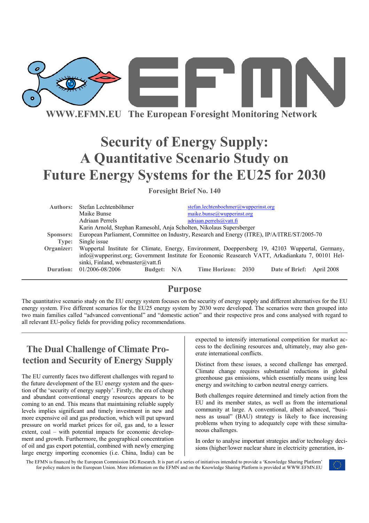

**WWW.EFMN.EU The European Foresight Monitoring Network**

# **Security of Energy Supply: A Quantitative Scenario Study on Future Energy Systems for the EU25 for 2030**

**Foresight Brief No. 140** 

| Authors:   | Stefan Lechtenböhmer                                                                              | stefan.lechtenboehmer@wupperinst.org |  |                           |  |
|------------|---------------------------------------------------------------------------------------------------|--------------------------------------|--|---------------------------|--|
|            | Maike Bunse                                                                                       | maike.bunse@wupperinst.org           |  |                           |  |
|            | Adriaan Perrels                                                                                   | adriaan.perrels@vatt.fi              |  |                           |  |
|            | Karin Arnold, Stephan Ramesohl, Anja Scholten, Nikolaus Supersberger                              |                                      |  |                           |  |
| Sponsors:  | European Parliament, Committee on Industry, Research and Energy (ITRE), IP/A/ITRE/ST/2005-70      |                                      |  |                           |  |
| Type:      | Single issue                                                                                      |                                      |  |                           |  |
| Organizer: | Wuppertal Institute for Climate, Energy, Environment, Doeppersberg 19, 42103 Wuppertal, Germany,  |                                      |  |                           |  |
|            | info@wupperinst.org; Government Institute for Economic Reasearch VATT, Arkadiankatu 7, 00101 Hel- |                                      |  |                           |  |
|            | sinki, Finland, webmaster@vatt.fi                                                                 |                                      |  |                           |  |
|            | Duration: 01/2006-08/2006<br>Budget: N/A                                                          | Time Horizon: 2030                   |  | Date of Brief: April 2008 |  |
|            |                                                                                                   |                                      |  |                           |  |

## **Purpose**

The quantitative scenario study on the EU energy system focuses on the security of energy supply and different alternatives for the EU energy system. Five different scenarios for the EU25 energy system by 2030 were developed. The scenarios were then grouped into two main families called "advanced conventional" and "domestic action" and their respective pros and cons analysed with regard to all relevant EU-policy fields for providing policy recommendations.

## **The Dual Challenge of Climate Protection and Security of Energy Supply**

The EU currently faces two different challenges with regard to the future development of the EU energy system and the question of the 'security of energy supply'. Firstly, the era of cheap and abundant conventional energy resources appears to be coming to an end. This means that maintaining reliable supply levels implies significant and timely investment in new and more expensive oil and gas production, which will put upward pressure on world market prices for oil, gas and, to a lesser extent, coal – with potential impacts for economic development and growth. Furthermore, the geographical concentration of oil and gas export potential, combined with newly emerging large energy importing economies (i.e. China, India) can be expected to intensify international competition for market access to the declining resources and, ultimately, may also generate international conflicts.

Distinct from these issues, a second challenge has emerged. Climate change requires substantial reductions in global greenhouse gas emissions, which essentially means using less energy and switching to carbon neutral energy carriers.

Both challenges require determined and timely action from the EU and its member states, as well as from the international community at large. A conventional, albeit advanced, "business as usual" (BAU) strategy is likely to face increasing problems when trying to adequately cope with these simultaneous challenges.

In order to analyse important strategies and/or technology decisions (higher/lower nuclear share in electricity generation, in-

The EFMN is financed by the European Commission DG Research. It is part of a series of initiatives intended to provide a 'Knowledge Sharing Platform' for policy makers in the European Union. More information on the EFMN and on the Knowledge Sharing Platform is provided at WWW.EFMN.EU

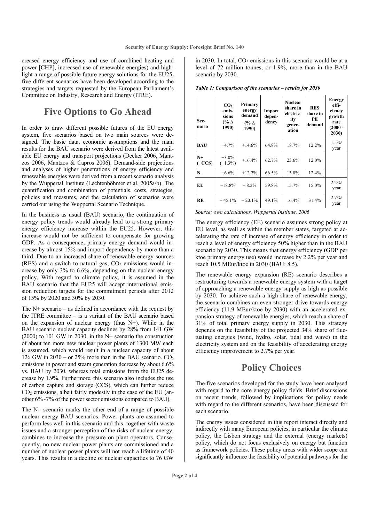creased energy efficiency and use of combined heating and power [CHP], increased use of renewable energies) and highlight a range of possible future energy solutions for the EU25, five different scenarios have been developed according to the strategies and targets requested by the European Parliament's Committee on Industry, Research and Energy (ITRE).

### **Five Options to Go Ahead**

In order to draw different possible futures of the EU energy system, five scenarios based on two main sources were designed. The basic data, economic assumptions and the main results for the BAU scenario were derived from the latest available EU energy and transport projections (Decker 2006, Mantzos 2006, Mantzos & Capros 2006). Demand-side projections and analyses of higher penetrations of energy efficiency and renewable energies were derived from a recent scenario analysis by the Wuppertal Institute (Lechtenböhmer et al. 2005a/b). The quantification and combination of potentials, costs, strategies, policies and measures, and the calculation of scenarios were carried out using the Wuppertal Scenario Technique.

In the business as usual (BAU) scenario, the continuation of energy policy trends would already lead to a strong primary energy efficiency increase within the EU25. However, this increase would not be sufficient to compensate for growing GDP. As a consequence, primary energy demand would increase by almost 15% and import dependency by more than a third. Due to an increased share of renewable energy sources  $(RES)$  and a switch to natural gas,  $CO<sub>2</sub>$  emissions would increase by only 3% to 6.6%, depending on the nuclear energy policy. With regard to climate policy, it is assumed in the BAU scenario that the EU25 will accept international emission reduction targets for the commitment periods after 2012 of 15% by 2020 and 30% by 2030.

The N+ scenario – as defined in accordance with the request by the ITRE committee – is a variant of the BAU scenario based on the expansion of nuclear energy (thus N+). While in the BAU scenario nuclear capacity declines by 28% from 141 GW (2000) to 101 GW in 2030, in the N+ scenario the construction of about ten more new nuclear power plants of 1300 MW each is assumed, which would result in a nuclear capacity of about 126 GW in  $2030 - or 25\%$  more than in the BAU scenario. CO<sub>2</sub> emissions in power and steam generation decrease by about 6.6% vs. BAU by 2030, whereas total emissions from the EU25 decrease by 1.9%. Furthermore, this scenario also includes the use of carbon capture and storage (CCS), which can further reduce  $CO<sub>2</sub>$  emissions, albeit fairly modestly in the case of the EU (another 6%~7% of the power sector emissions compared to BAU).

The N– scenario marks the other end of a range of possible nuclear energy BAU scenarios. Power plants are assumed to perform less well in this scenario and this, together with waste issues and a stronger perception of the risks of nuclear energy, combines to increase the pressure on plant operators. Consequently, no new nuclear power plants are commissioned and a number of nuclear power plants will not reach a lifetime of 40 years. This results in a decline of nuclear capacities to 76 GW in 2030. In total,  $CO<sub>2</sub>$  emissions in this scenario would be at a level of 72 million tonnes, or 1.9%, more than in the BAU scenario by 2030.

**Scenario CO<sub>2</sub> emissions (% ∆ 1990) Primary energy demand (% ∆ 1990) Import dependency Nuclear share in electricity generation RES share in PE demand Energy efficiency growth rate**   $(2000 -$ **2030) BAU** +4.7% +14.6% 64.8% 18.7% 12.2% 1.5% year **N+ (+CCS)**  $+3.0%$  $+3.0\%$  +16.4% 62.7% 23.6% 12.0% **N**–  $+6.6\%$   $+12.2\%$  66.5% 13.8% 12.4% **EE**  $-18.8\%$   $-8.2\%$  59.8% 15.7% 15.0% 2.2% year **RE**  $\begin{array}{|c|c|c|c|c|c|c|c|c|} \hline -45.1\% & -20.1\% & 49.1\% & 16.4\% & 31.4\% & \cdots \end{array}$ year

*Table 1: Comparison of the scenarios – results for 2030* 

*Source: own calculations, Wuppertal Institute, 2006* 

The energy efficiency (EE) scenario assumes strong policy at EU level, as well as within the member states, targeted at accelerating the rate of increase of energy efficiency in order to reach a level of energy efficiency 50% higher than in the BAU scenario by 2030. This means that energy efficiency (GDP per ktoe primary energy use) would increase by 2.2% per year and reach 10.5 MEur/ktoe in 2030 (BAU: 8.5).

The renewable energy expansion (RE) scenario describes a restructuring towards a renewable energy system with a target of approaching a renewable energy supply as high as possible by 2030. To achieve such a high share of renewable energy, the scenario combines an even stronger drive towards energy efficiency (11.9 MEur/ktoe by 2030) with an accelerated expansion strategy of renewable energies, which reach a share of 31% of total primary energy supply in 2030. This strategy depends on the feasibility of the projected 34% share of fluctuating energies (wind, hydro, solar, tidal and wave) in the electricity system and on the feasibility of accelerating energy efficiency improvement to 2.7% per year.

## **Policy Choices**

The five scenarios developed for the study have been analysed with regard to the core energy policy fields. Brief discussions on recent trends, followed by implications for policy needs with regard to the different scenarios, have been discussed for each scenario.

The energy issues considered in this report interact directly and indirectly with many European policies, in particular the climate policy, the Lisbon strategy and the external (energy markets) policy, which do not focus exclusively on energy but function as framework policies. These policy areas with wider scope can significantly influence the feasibility of potential pathways for the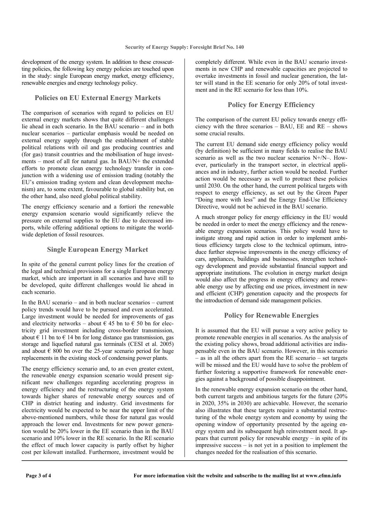development of the energy system. In addition to these crosscutting policies, the following key energy policies are touched upon in the study: single European energy market, energy efficiency, renewable energies and energy technology policy.

#### **Policies on EU External Energy Markets**

The comparison of scenarios with regard to policies on EU external energy markets shows that quite different challenges lie ahead in each scenario. In the BAU scenario – and in both nuclear scenarios – particular emphasis would be needed on external energy supply through the establishment of stable political relations with oil and gas producing countries and (for gas) transit countries and the mobilisation of huge investments – most of all for natural gas. In BAU/N+ the extended efforts to promote clean energy technology transfer in conjunction with a widening use of emission trading (notably the EU's emission trading system and clean development mechanism) are, to some extent, favourable to global stability but, on the other hand, also need global political stability.

The energy efficiency scenario and a fortiori the renewable energy expansion scenario would significantly relieve the pressure on external supplies to the EU due to decreased imports, while offering additional options to mitigate the worldwide depletion of fossil resources.

#### **Single European Energy Market**

In spite of the general current policy lines for the creation of the legal and technical provisions for a single European energy market, which are important in all scenarios and have still to be developed, quite different challenges would lie ahead in each scenario.

In the BAU scenario – and in both nuclear scenarios – current policy trends would have to be pursued and even accelerated. Large investment would be needed for improvements of gas and electricity networks – about  $\epsilon$  45 bn to  $\epsilon$  50 bn for electricity grid investment including cross-border transmission, about  $\epsilon$  11 bn to  $\epsilon$  14 bn for long distance gas transmission, gas storage and liquefied natural gas terminals (CESI et al. 2005) and about  $\epsilon$  800 bn over the 25-year scenario period for huge replacements in the existing stock of condensing power plants.

The energy efficiency scenario and, to an even greater extent, the renewable energy expansion scenario would present significant new challenges regarding accelerating progress in energy efficiency and the restructuring of the energy system towards higher shares of renewable energy sources and of CHP in district heating and industry. Grid investments for electricity would be expected to be near the upper limit of the above-mentioned numbers, while those for natural gas would approach the lower end. Investments for new power generation would be 20% lower in the EE scenario than in the BAU scenario and 10% lower in the RE scenario. In the RE scenario the effect of much lower capacity is partly offset by higher cost per kilowatt installed. Furthermore, investment would be

completely different. While even in the BAU scenario investments in new CHP and renewable capacities are projected to overtake investments in fossil and nuclear generation, the latter will stand in the EE scenario for only 20% of total investment and in the RE scenario for less than 10%.

#### **Policy for Energy Efficiency**

The comparison of the current EU policy towards energy efficiency with the three scenarios –  $BAU$ , EE and RE – shows some crucial results.

The current EU demand side energy efficiency policy would (by definition) be sufficient in many fields to realise the BAU scenario as well as the two nuclear scenarios N+/N–. However, particularly in the transport sector, in electrical appliances and in industry, further action would be needed. Further action would be necessary as well to protract these policies until 2030. On the other hand, the current political targets with respect to energy efficiency, as set out by the Green Paper "Doing more with less" and the Energy End-Use Efficiency Directive, would not be achieved in the BAU scenario.

A much stronger policy for energy efficiency in the EU would be needed in order to meet the energy efficiency and the renewable energy expansion scenarios. This policy would have to instigate strong and rapid action in order to implement ambitious efficiency targets close to the technical optimum, introduce further stepwise improvements in the energy efficiency of cars, appliances, buildings and businesses, strengthen technology development and provide substantial financial support and appropriate institutions. The evolution in energy market design would also affect the progress in energy efficiency and renewable energy use by affecting end use prices, investment in new and efficient (CHP) generation capacity and the prospects for the introduction of demand side management policies.

#### **Policy for Renewable Energies**

It is assumed that the EU will pursue a very active policy to promote renewable energies in all scenarios. As the analysis of the existing policy shows, broad additional activities are indispensable even in the BAU scenario. However, in this scenario  $\overline{\phantom{a}}$  – as in all the others apart from the RE scenario – set targets will be missed and the EU would have to solve the problem of further fostering a supportive framework for renewable energies against a background of possible disappointment.

In the renewable energy expansion scenario on the other hand, both current targets and ambitious targets for the future (20% in 2020, 35% in 2030) are achievable. However, the scenario also illustrates that these targets require a substantial restructuring of the whole energy system and economy by using the opening window of opportunity presented by the ageing energy system and its subsequent high reinvestment need. It appears that current policy for renewable energy – in spite of its  $impressive success - is not yet in a position to implement the$ changes needed for the realisation of this scenario.